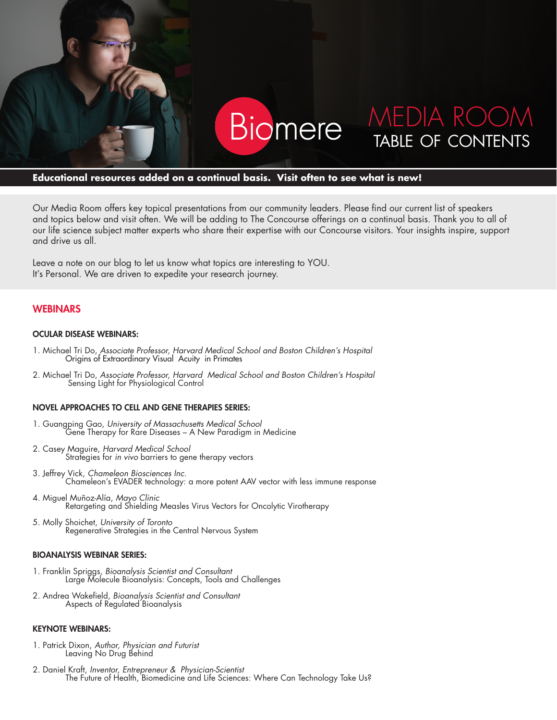

#### **Educational resources added on a continual basis. Visit often to see what is new!**

Our Media Room offers key topical presentations from our community leaders. Please find our current list of speakers and topics below and visit often. We will be adding to The Concourse offerings on a continual basis. Thank you to all of our life science subject matter experts who share their expertise with our Concourse visitors. Your insights inspire, support and drive us all.

Leave a note on our blog to let us know what topics are interesting to YOU. It's Personal. We are driven to expedite your research journey.

#### **WEBINARS**

#### OCULAR DISEASE WEBINARS:

- 1. Michael Tri Do, *Associate Professor, Harvard Medical School and Boston Children's Hospital*  Origins of Extraordinary Visual Acuity in Primates
- 2. Michael Tri Do, *Associate Professor, Harvard Medical School and Boston Children's Hospital*  Sensing Light for Physiological Control

#### NOVEL APPROACHES TO CELL AND GENE THERAPIES SERIES:

- 1. Guangping Gao, *University of Massachusetts Medical School* Gene Therapy for Rare Diseases – A New Paradigm in Medicine
- 2. Casey Maguire, *Harvard Medical School* Strategies for *in vivo* barriers to gene therapy vectors
- 3. Jeffrey Vick, *Chameleon Biosciences Inc.* Chameleon's EVADER technology: a more potent AAV vector with less immune response
- 4. Miguel Muñoz-Alía, *Mayo Clinic* Retargeting and Shielding Measles Virus Vectors for Oncolytic Virotherapy
- 5. Molly Shoichet, *University of Toronto* Regenerative Strategies in the Central Nervous System

#### BIOANALYSIS WEBINAR SERIES:

- 1. Franklin Spriggs, *Bioanalysis Scientist and Consultant* Large Molecule Bioanalysis: Concepts, Tools and Challenges
- 2. Andrea Wakefield, *Bioanalysis Scientist and Consultant* Aspects of Regulated Bioanalysis

#### KEYNOTE WEBINARS:

- 1. Patrick Dixon, *Author, Physician and Futurist*  Leaving No Drug Behind
- 2. Daniel Kraft, *Inventor, Entrepreneur & Physician-Scientist* The Future of Health, Biomedicine and Life Sciences: Where Can Technology Take Us?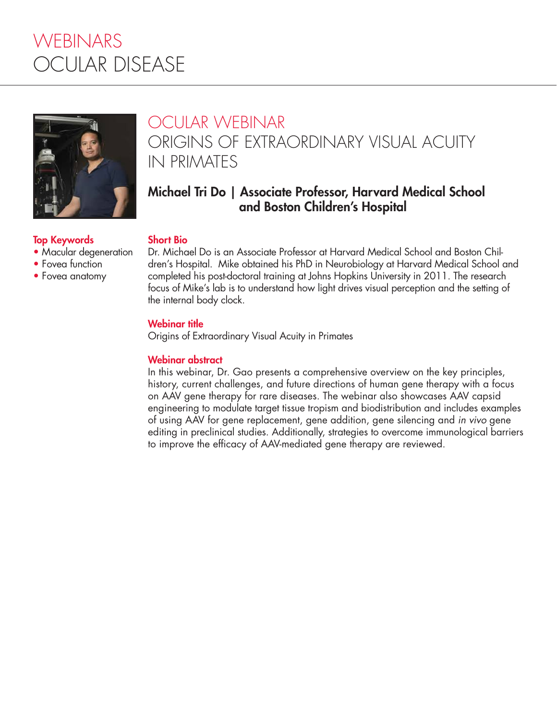# WEBINARS OCULAR DISEASE



# OCULAR WEBINAR ORIGINS OF EXTRAORDINARY VISUAL ACUITY IN PRIMATES

### Michael Tri Do | Associate Professor, Harvard Medical School and Boston Children's Hospital

### Top Keywords

- Macular degeneration
- Fovea function
- Fovea anatomy

Dr. Michael Do is an Associate Professor at Harvard Medical School and Boston Children's Hospital. Mike obtained his PhD in Neurobiology at Harvard Medical School and completed his post-doctoral training at Johns Hopkins University in 2011. The research focus of Mike's lab is to understand how light drives visual perception and the setting of the internal body clock.

#### Webinar title

Short Bio

Origins of Extraordinary Visual Acuity in Primates

#### Webinar abstract

In this webinar, Dr. Gao presents a comprehensive overview on the key principles, history, current challenges, and future directions of human gene therapy with a focus on AAV gene therapy for rare diseases. The webinar also showcases AAV capsid engineering to modulate target tissue tropism and biodistribution and includes examples of using AAV for gene replacement, gene addition, gene silencing and *in vivo* gene editing in preclinical studies. Additionally, strategies to overcome immunological barriers to improve the efficacy of AAV-mediated gene therapy are reviewed.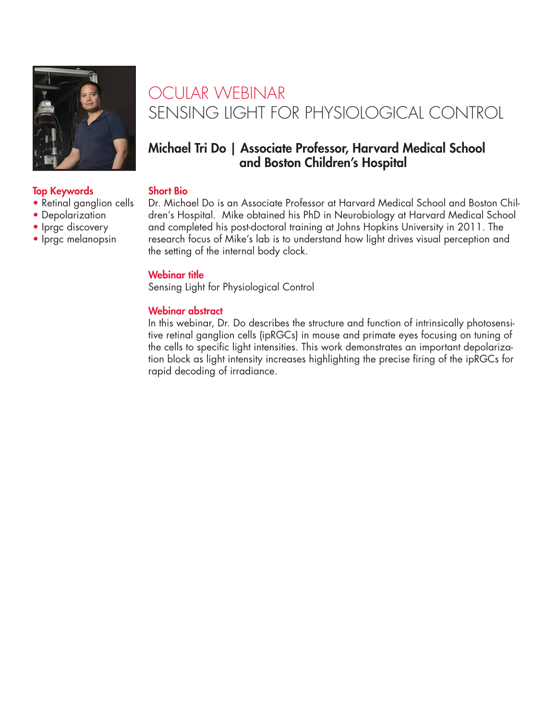

# OCULAR WEBINAR SENSING LIGHT FOR PHYSIOLOGICAL CONTROL

### Michael Tri Do | Associate Professor, Harvard Medical School and Boston Children's Hospital

#### Short Bio

Dr. Michael Do is an Associate Professor at Harvard Medical School and Boston Children's Hospital. Mike obtained his PhD in Neurobiology at Harvard Medical School and completed his post-doctoral training at Johns Hopkins University in 2011. The research focus of Mike's lab is to understand how light drives visual perception and the setting of the internal body clock.

#### Webinar title

Sensing Light for Physiological Control

#### Webinar abstract

In this webinar, Dr. Do describes the structure and function of intrinsically photosensitive retinal ganglion cells (ipRGCs) in mouse and primate eyes focusing on tuning of the cells to specific light intensities. This work demonstrates an important depolarization block as light intensity increases highlighting the precise firing of the ipRGCs for rapid decoding of irradiance.

#### Top Keywords

- Retinal ganglion cells
- Depolarization
- Iprgc discovery
- Iprgc melanopsin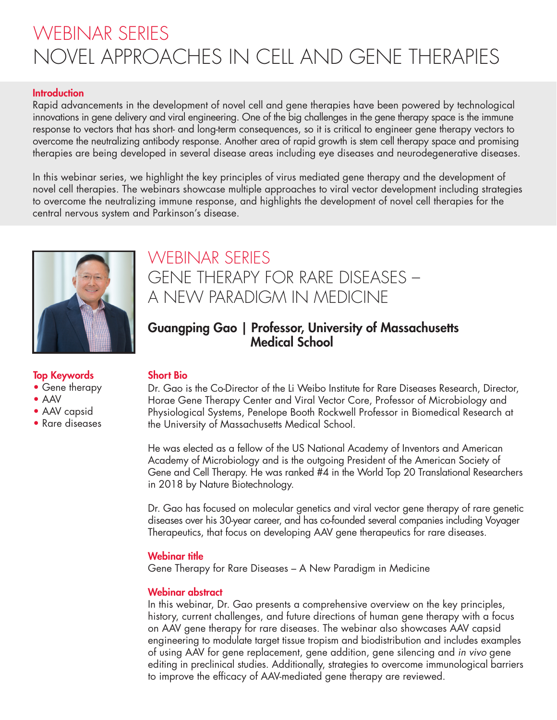# WEBINAR SERIES NOVEL APPROACHES IN CELL AND GENE THERAPIES

#### **Introduction**

Rapid advancements in the development of novel cell and gene therapies have been powered by technological innovations in gene delivery and viral engineering. One of the big challenges in the gene therapy space is the immune response to vectors that has short- and long-term consequences, so it is critical to engineer gene therapy vectors to overcome the neutralizing antibody response. Another area of rapid growth is stem cell therapy space and promising therapies are being developed in several disease areas including eye diseases and neurodegenerative diseases.

In this webinar series, we highlight the key principles of virus mediated gene therapy and the development of novel cell therapies. The webinars showcase multiple approaches to viral vector development including strategies to overcome the neutralizing immune response, and highlights the development of novel cell therapies for the central nervous system and Parkinson's disease.



## WEBINAR SERIES GENE THERAPY FOR RARE DISEASES – A NEW PARADIGM IN MEDICINE

### Guangping Gao | Professor, University of Massachusetts Medical School

#### Top Keywords

- Gene therapy
- AAV
- AAV capsid
- Rare diseases

#### Short Bio

Dr. Gao is the Co-Director of the Li Weibo Institute for Rare Diseases Research, Director, Horae Gene Therapy Center and Viral Vector Core, Professor of Microbiology and Physiological Systems, Penelope Booth Rockwell Professor in Biomedical Research at the University of Massachusetts Medical School.

He was elected as a fellow of the US National Academy of Inventors and American Academy of Microbiology and is the outgoing President of the American Society of Gene and Cell Therapy. He was ranked #4 in the World Top 20 Translational Researchers in 2018 by Nature Biotechnology.

Dr. Gao has focused on molecular genetics and viral vector gene therapy of rare genetic diseases over his 30-year career, and has co-founded several companies including Voyager Therapeutics, that focus on developing AAV gene therapeutics for rare diseases.

#### Webinar title

Gene Therapy for Rare Diseases – A New Paradigm in Medicine

#### Webinar abstract

In this webinar, Dr. Gao presents a comprehensive overview on the key principles, history, current challenges, and future directions of human gene therapy with a focus on AAV gene therapy for rare diseases. The webinar also showcases AAV capsid engineering to modulate target tissue tropism and biodistribution and includes examples of using AAV for gene replacement, gene addition, gene silencing and *in vivo* gene editing in preclinical studies. Additionally, strategies to overcome immunological barriers to improve the efficacy of AAV-mediated gene therapy are reviewed.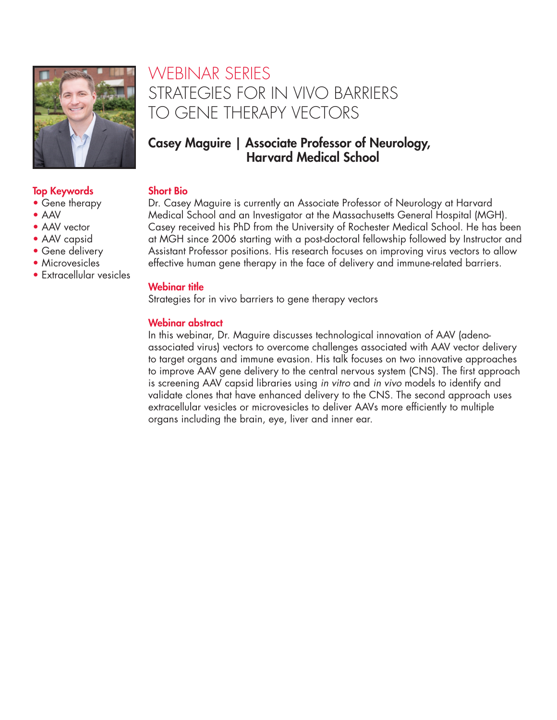

#### Top Keywords

- Gene therapy
- AAV
- AAV vector
- AAV capsid
- Gene delivery
- Microvesicles
- Extracellular vesicles

## WEBINAR SERIES STRATEGIES FOR IN VIVO BARRIERS TO GENE THERAPY VECTORS

### Casey Maguire | Associate Professor of Neurology, Harvard Medical School

#### Short Bio

Dr. Casey Maguire is currently an Associate Professor of Neurology at Harvard Medical School and an Investigator at the Massachusetts General Hospital (MGH). Casey received his PhD from the University of Rochester Medical School. He has been at MGH since 2006 starting with a post-doctoral fellowship followed by Instructor and Assistant Professor positions. His research focuses on improving virus vectors to allow effective human gene therapy in the face of delivery and immune-related barriers.

#### Webinar title

Strategies for in vivo barriers to gene therapy vectors

#### Webinar abstract

In this webinar, Dr. Maguire discusses technological innovation of AAV (adenoassociated virus) vectors to overcome challenges associated with AAV vector delivery to target organs and immune evasion. His talk focuses on two innovative approaches to improve AAV gene delivery to the central nervous system (CNS). The first approach is screening AAV capsid libraries using *in vitro* and *in vivo* models to identify and validate clones that have enhanced delivery to the CNS. The second approach uses extracellular vesicles or microvesicles to deliver AAVs more efficiently to multiple organs including the brain, eye, liver and inner ear.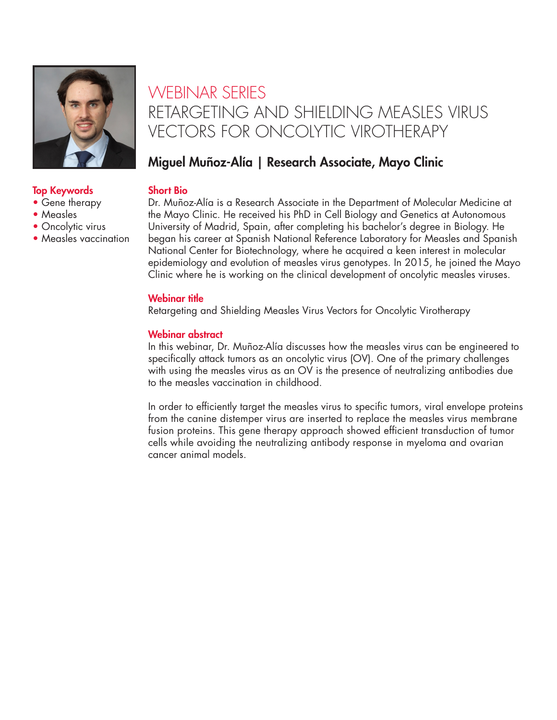

#### Top Keywords

- Gene therapy
- Measles
- Oncolytic virus
- Measles vaccination

## WEBINAR SERIES RETARGETING AND SHIELDING MEASLES VIRUS VECTORS FOR ONCOLYTIC VIROTHERAPY

### Miguel Muñoz-Alía | Research Associate, Mayo Clinic

#### Short Bio

Dr. Muñoz-Alía is a Research Associate in the Department of Molecular Medicine at the Mayo Clinic. He received his PhD in Cell Biology and Genetics at Autonomous University of Madrid, Spain, after completing his bachelor's degree in Biology. He began his career at Spanish National Reference Laboratory for Measles and Spanish National Center for Biotechnology, where he acquired a keen interest in molecular epidemiology and evolution of measles virus genotypes. In 2015, he joined the Mayo Clinic where he is working on the clinical development of oncolytic measles viruses.

#### Webinar title

Retargeting and Shielding Measles Virus Vectors for Oncolytic Virotherapy

#### Webinar abstract

In this webinar, Dr. Muñoz-Alía discusses how the measles virus can be engineered to specifically attack tumors as an oncolytic virus (OV). One of the primary challenges with using the measles virus as an OV is the presence of neutralizing antibodies due to the measles vaccination in childhood.

In order to efficiently target the measles virus to specific tumors, viral envelope proteins from the canine distemper virus are inserted to replace the measles virus membrane fusion proteins. This gene therapy approach showed efficient transduction of tumor cells while avoiding the neutralizing antibody response in myeloma and ovarian cancer animal models.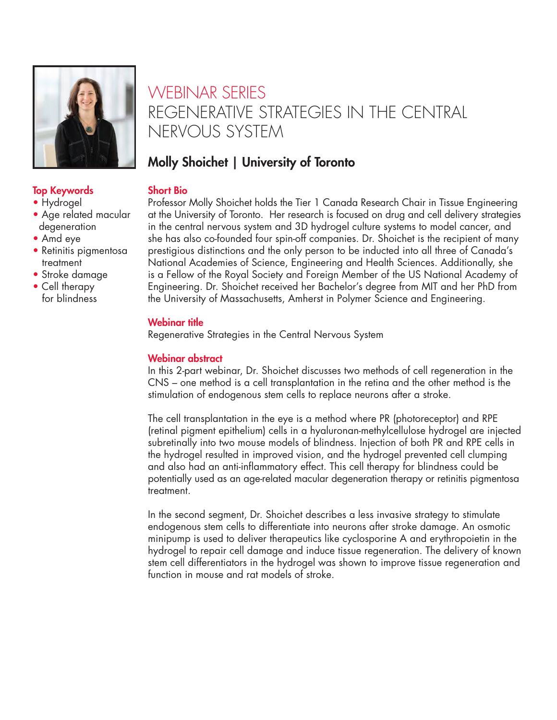

# WEBINAR SERIES REGENERATIVE STRATEGIES IN THE CENTRAL NERVOUS SYSTEM

## Molly Shoichet | University of Toronto

#### Short Bio

Professor Molly Shoichet holds the Tier 1 Canada Research Chair in Tissue Engineering at the University of Toronto. Her research is focused on drug and cell delivery strategies in the central nervous system and 3D hydrogel culture systems to model cancer, and she has also co-founded four spin-off companies. Dr. Shoichet is the recipient of many prestigious distinctions and the only person to be inducted into all three of Canada's National Academies of Science, Engineering and Health Sciences. Additionally, she is a Fellow of the Royal Society and Foreign Member of the US National Academy of Engineering. Dr. Shoichet received her Bachelor's degree from MIT and her PhD from the University of Massachusetts, Amherst in Polymer Science and Engineering.

### Webinar title

Regenerative Strategies in the Central Nervous System

### Webinar abstract

In this 2-part webinar, Dr. Shoichet discusses two methods of cell regeneration in the CNS – one method is a cell transplantation in the retina and the other method is the stimulation of endogenous stem cells to replace neurons after a stroke.

The cell transplantation in the eye is a method where PR (photoreceptor) and RPE (retinal pigment epithelium) cells in a hyaluronan-methylcellulose hydrogel are injected subretinally into two mouse models of blindness. Injection of both PR and RPE cells in the hydrogel resulted in improved vision, and the hydrogel prevented cell clumping and also had an anti-inflammatory effect. This cell therapy for blindness could be potentially used as an age-related macular degeneration therapy or retinitis pigmentosa treatment.

In the second segment, Dr. Shoichet describes a less invasive strategy to stimulate endogenous stem cells to differentiate into neurons after stroke damage. An osmotic minipump is used to deliver therapeutics like cyclosporine A and erythropoietin in the hydrogel to repair cell damage and induce tissue regeneration. The delivery of known stem cell differentiators in the hydrogel was shown to improve tissue regeneration and function in mouse and rat models of stroke.

### Top Keywords

- Hydrogel
- Age related macular degeneration
- Amd eye
- Retinitis pigmentosa treatment
- Stroke damage
- Cell therapy for blindness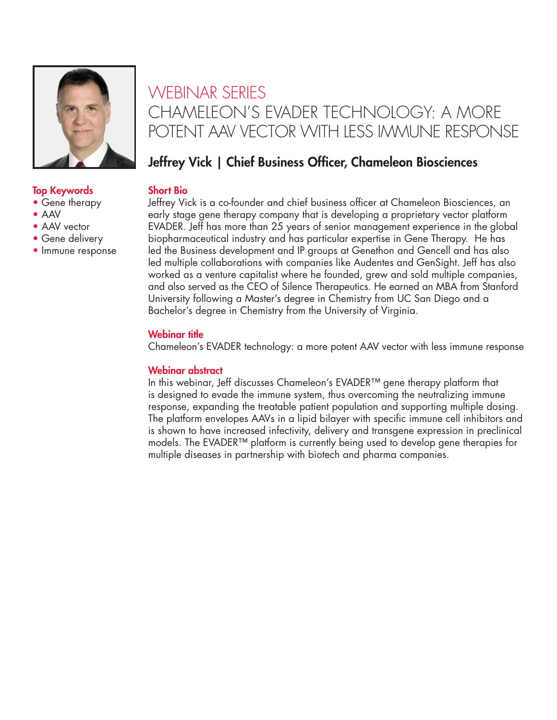

#### Top Keywords

- Gene therapy
- AAV
- AAV vector
- Gene delivery
- Immune response

## WEBINAR SERIES CHAMELEON'S EVADER TECHNOLOGY: A MORE POTENT AAV VECTOR WITH LESS IMMUNE RESPONSE

## Jeffrey Vick | Chief Business Officer, Chameleon Biosciences

#### Short Bio

Jeffrey Vick is a co-founder and chief business officer at Chameleon Biosciences, an early stage gene therapy company that is developing a proprietary vector platform EVADER. Jeff has more than 25 years of senior management experience in the global biopharmaceutical industry and has particular expertise in Gene Therapy. He has led the Business development and IP groups at Genethon and Gencell and has also led multiple collaborations with companies like Audentes and GenSight. Jeff has also worked as a venture capitalist where he founded, grew and sold multiple companies, and also served as the CEO of Silence Therapeutics. He earned an MBA from Stanford University following a Master's degree in Chemistry from UC San Diego and a Bachelor's degree in Chemistry from the University of Virginia.

#### Webinar title

Chameleon's EVADER technology: a more potent AAV vector with less immune response

#### Webinar abstract

In this webinar, Jeff discusses Chameleon's EVADER™ gene therapy platform that is designed to evade the immune system, thus overcoming the neutralizing immune response, expanding the treatable patient population and supporting multiple dosing. The platform envelopes AAVs in a lipid bilayer with specific immune cell inhibitors and is shown to have increased infectivity, delivery and transgene expression in preclinical models. The EVADER™ platform is currently being used to develop gene therapies for multiple diseases in partnership with biotech and pharma companies.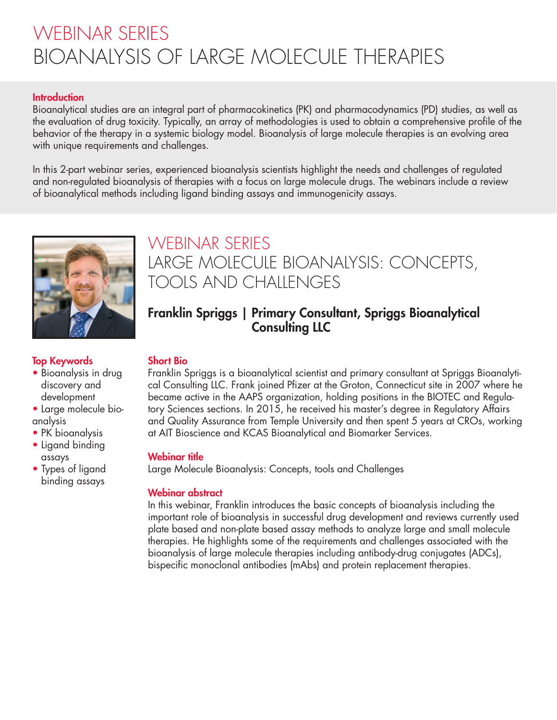# WEBINAR SERIES BIOANALYSIS OF LARGE MOLECULE THERAPIES

#### **Introduction**

Bioanalytical studies are an integral part of pharmacokinetics (PK) and pharmacodynamics (PD) studies, as well as the evaluation of drug toxicity. Typically, an array of methodologies is used to obtain a comprehensive profile of the behavior of the therapy in a systemic biology model. Bioanalysis of large molecule therapies is an evolving area with unique requirements and challenges.

In this 2-part webinar series, experienced bioanalysis scientists highlight the needs and challenges of regulated and non-regulated bioanalysis of therapies with a focus on large molecule drugs. The webinars include a review of bioanalytical methods including ligand binding assays and immunogenicity assays.



## WEBINAR SERIES LARGE MOLECULE BIOANALYSIS: CONCEPTS, TOOLS AND CHALLENGES

### Franklin Spriggs | Primary Consultant, Spriggs Bioanalytical Consulting LLC

#### Top Keywords

- Bioanalysis in drug discovery and development
- Large molecule bioanalysis
- PK bioanalysis
- Ligand binding assays
- Types of ligand binding assays

### Short Bio

Franklin Spriggs is a bioanalytical scientist and primary consultant at Spriggs Bioanalytical Consulting LLC. Frank joined Pfizer at the Groton, Connecticut site in 2007 where he became active in the AAPS organization, holding positions in the BIOTEC and Regulatory Sciences sections. In 2015, he received his master's degree in Regulatory Affairs and Quality Assurance from Temple University and then spent 5 years at CROs, working at AIT Bioscience and KCAS Bioanalytical and Biomarker Services.

#### Webinar title

Large Molecule Bioanalysis: Concepts, tools and Challenges

#### Webinar abstract

In this webinar, Franklin introduces the basic concepts of bioanalysis including the important role of bioanalysis in successful drug development and reviews currently used plate based and non-plate based assay methods to analyze large and small molecule therapies. He highlights some of the requirements and challenges associated with the bioanalysis of large molecule therapies including antibody-drug conjugates (ADCs), bispecific monoclonal antibodies (mAbs) and protein replacement therapies.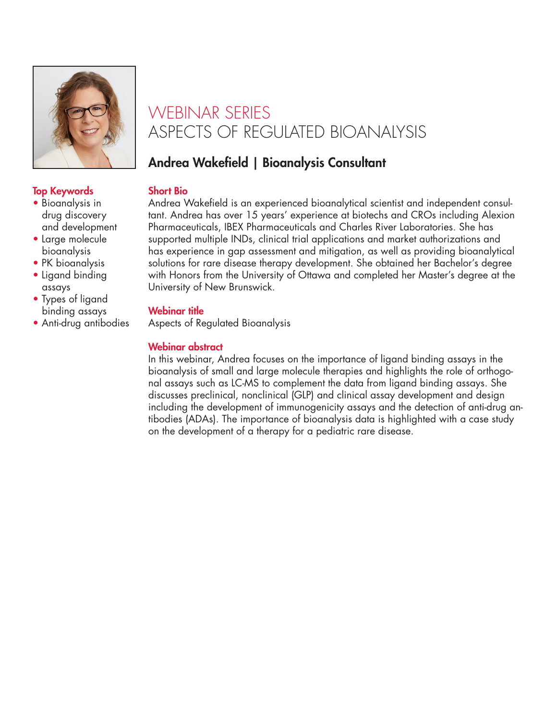

## WEBINAR SERIES ASPECTS OF REGULATED BIOANALYSIS

## Andrea Wakefield | Bioanalysis Consultant

#### Short Bio

Andrea Wakefield is an experienced bioanalytical scientist and independent consultant. Andrea has over 15 years' experience at biotechs and CROs including Alexion Pharmaceuticals, IBEX Pharmaceuticals and Charles River Laboratories. She has supported multiple INDs, clinical trial applications and market authorizations and has experience in gap assessment and mitigation, as well as providing bioanalytical solutions for rare disease therapy development. She obtained her Bachelor's degree with Honors from the University of Ottawa and completed her Master's degree at the University of New Brunswick.

#### Webinar title

Aspects of Regulated Bioanalysis

### Webinar abstract

In this webinar, Andrea focuses on the importance of ligand binding assays in the bioanalysis of small and large molecule therapies and highlights the role of orthogonal assays such as LC-MS to complement the data from ligand binding assays. She discusses preclinical, nonclinical (GLP) and clinical assay development and design including the development of immunogenicity assays and the detection of anti-drug antibodies (ADAs). The importance of bioanalysis data is highlighted with a case study on the development of a therapy for a pediatric rare disease.

### Top Keywords

- Bioanalysis in drug discovery and development
- Large molecule bioanalysis
- PK bioanalysis
- Ligand binding assays
- Types of ligand binding assays
- Anti-drug antibodies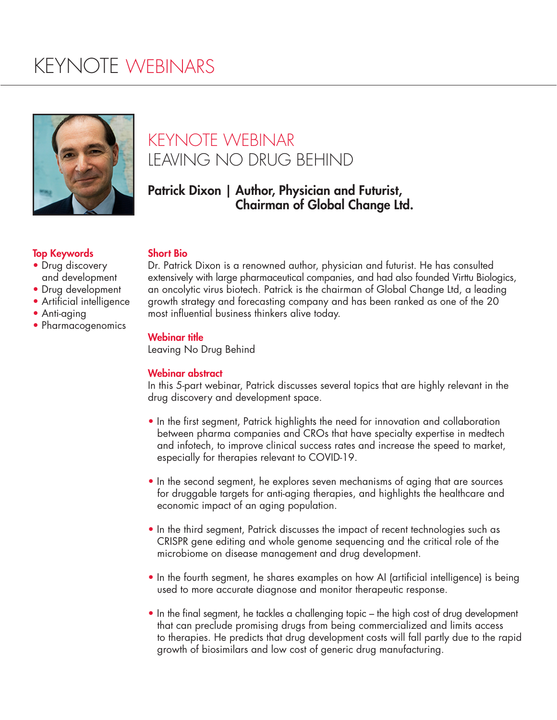# KEYNOTE WEBINARS



# KEYNOTE WEBINAR LEAVING NO DRUG BEHIND

### Patrick Dixon | Author, Physician and Futurist, Chairman of Global Change Ltd.

#### Top Keywords

- Drug discovery and development
- Drug development
- Artificial intelligence
- Anti-aging
- Pharmacogenomics

#### Short Bio

Dr. Patrick Dixon is a renowned author, physician and futurist. He has consulted extensively with large pharmaceutical companies, and had also founded Virttu Biologics, an oncolytic virus biotech. Patrick is the chairman of Global Change Ltd, a leading growth strategy and forecasting company and has been ranked as one of the 20 most influential business thinkers alive today.

#### Webinar title

Leaving No Drug Behind

#### Webinar abstract

In this 5-part webinar, Patrick discusses several topics that are highly relevant in the drug discovery and development space.

- In the first segment, Patrick highlights the need for innovation and collaboration between pharma companies and CROs that have specialty expertise in medtech and infotech, to improve clinical success rates and increase the speed to market, especially for therapies relevant to COVID-19.
- In the second segment, he explores seven mechanisms of aging that are sources for druggable targets for anti-aging therapies, and highlights the healthcare and economic impact of an aging population.
- In the third segment, Patrick discusses the impact of recent technologies such as CRISPR gene editing and whole genome sequencing and the critical role of the microbiome on disease management and drug development.
- In the fourth segment, he shares examples on how AI (artificial intelligence) is being used to more accurate diagnose and monitor therapeutic response.
- In the final segment, he tackles a challenging topic the high cost of drug development that can preclude promising drugs from being commercialized and limits access to therapies. He predicts that drug development costs will fall partly due to the rapid growth of biosimilars and low cost of generic drug manufacturing.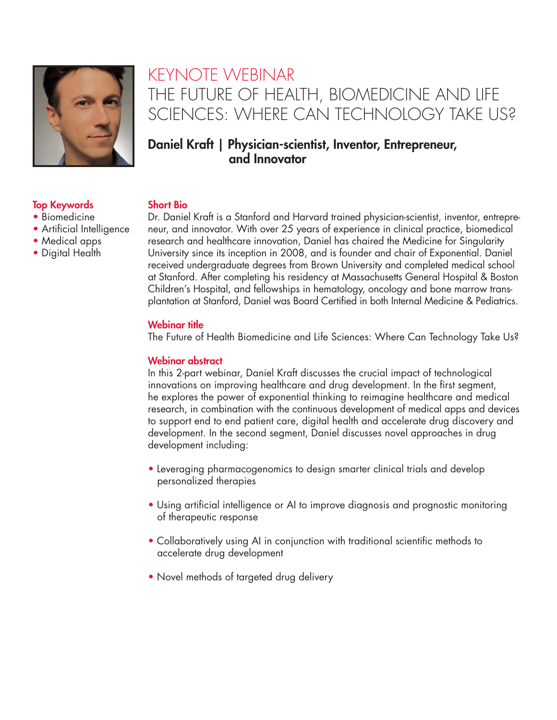

• Artificial Intelligence

## KEYNOTE WEBINAR THE FUTURE OF HEALTH, BIOMEDICINE AND LIFE SCIENCES: WHERE CAN TECHNOLOGY TAKE US?

### Daniel Kraft | Physician-scientist, Inventor, Entrepreneur, and Innovator

#### Top Keywords • Biomedicine

• Medical apps • Digital Health

#### Short Bio

Dr. Daniel Kraft is a Stanford and Harvard trained physician-scientist, inventor, entrepreneur, and innovator. With over 25 years of experience in clinical practice, biomedical research and healthcare innovation, Daniel has chaired the Medicine for Singularity University since its inception in 2008, and is founder and chair of Exponential. Daniel received undergraduate degrees from Brown University and completed medical school at Stanford. After completing his residency at Massachusetts General Hospital & Boston Children's Hospital, and fellowships in hematology, oncology and bone marrow transplantation at Stanford, Daniel was Board Certified in both Internal Medicine & Pediatrics.

#### Webinar title

The Future of Health Biomedicine and Life Sciences: Where Can Technology Take Us?

#### Webinar abstract

In this 2-part webinar, Daniel Kraft discusses the crucial impact of technological innovations on improving healthcare and drug development. In the first segment, he explores the power of exponential thinking to reimagine healthcare and medical research, in combination with the continuous development of medical apps and devices to support end to end patient care, digital health and accelerate drug discovery and development. In the second segment, Daniel discusses novel approaches in drug development including:

- Leveraging pharmacogenomics to design smarter clinical trials and develop personalized therapies
- Using artificial intelligence or AI to improve diagnosis and prognostic monitoring of therapeutic response
- Collaboratively using AI in conjunction with traditional scientific methods to accelerate drug development
- Novel methods of targeted drug delivery